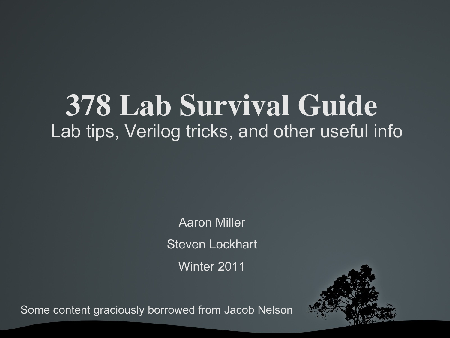#### 378 Lab Survival Guide Lab tips, Verilog tricks, and other useful info

Aaron Miller Steven Lockhart Winter 2011



Some content graciously borrowed from Jacob Nelson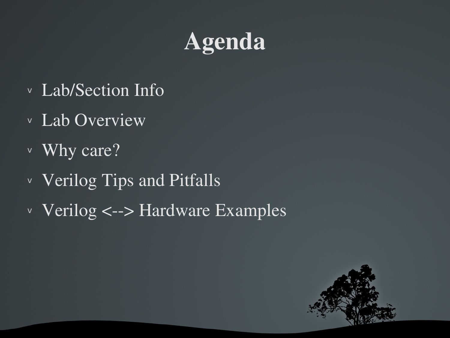#### Agenda

- <sup>v</sup> Lab/Section Info
- <sup>v</sup> Lab Overview
- <sup>v</sup> Why care?
- <sup>v</sup> Verilog Tips and Pitfalls
- $\vee$  Verilog <--> Hardware Examples

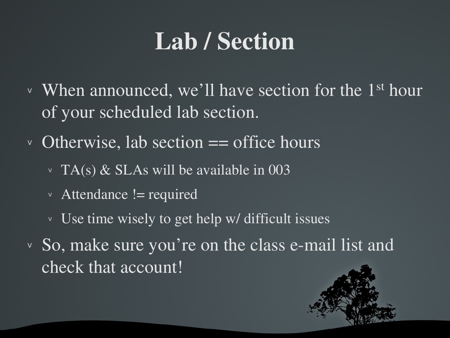#### Lab / Section

- $\vee$  When announced, we'll have section for the 1<sup>st</sup> hour of your scheduled lab section.
- $\vee$  Otherwise, lab section  $==$  office hours
	- $\vee$  TA(s) & SLAs will be available in 003
	- $\vee$  Attendance != required
	- <sup>v</sup> Use time wisely to get help w/ difficult issues
- $\vee$  So, make sure you're on the class e-mail list and check that account!

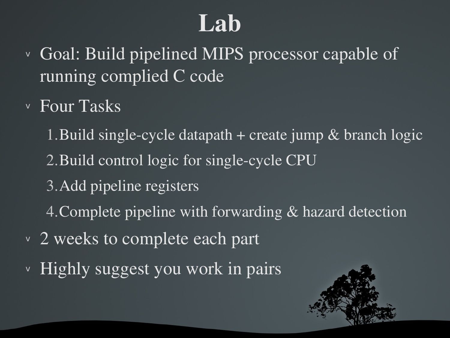#### Lab

- <sup>v</sup> Goal: Build pipelined MIPS processor capable of running complied C code
- <sup>v</sup> Four Tasks
	- 1. Build single-cycle datapath  $+$  create jump  $\&$  branch logic 2. Build control logic for single-cycle CPU 3.Add pipeline registers 4.Complete pipeline with forwarding & hazard detection
- v 2 weeks to complete each part
- <sup>v</sup> Highly suggest you work in pairs

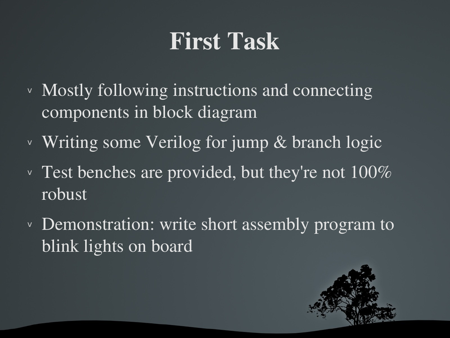#### First Task

- <sup>v</sup> Mostly following instructions and connecting components in block diagram
- <sup>v</sup> Writing some Verilog for jump & branch logic
- $\vee$  Test benches are provided, but they're not 100% robust
- <sup>v</sup> Demonstration: write short assembly program to blink lights on board

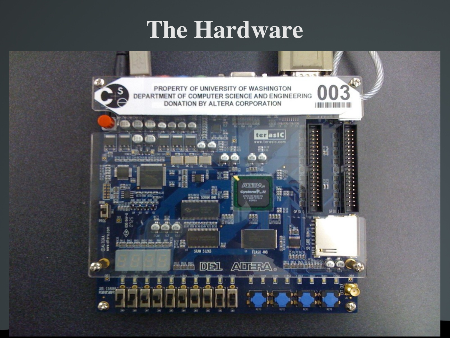#### The Hardware

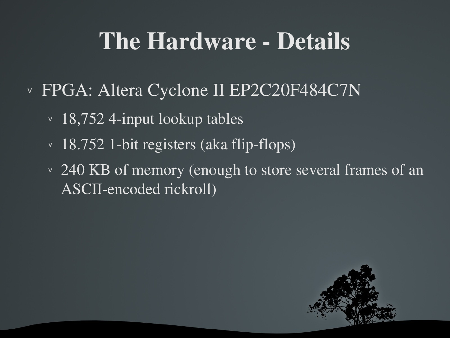#### The Hardware - Details

- <sup>v</sup> FPGA: Altera Cyclone II EP2C20F484C7N
	- $\cdot$  18,752 4-input lookup tables
	- $\vee$  18.752 1-bit registers (aka flip-flops)
	- v 240 KB of memory (enough to store several frames of an ASCII-encoded rickroll)

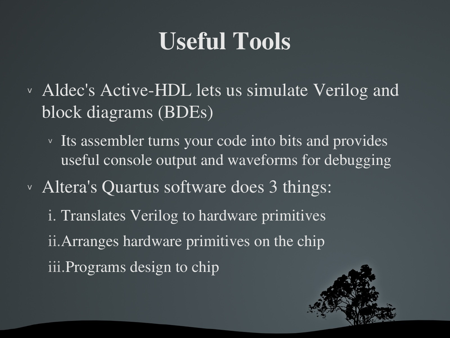#### Useful Tools

- v Aldec's Active-HDL lets us simulate Verilog and block diagrams (BDEs)
	- v Its assembler turns your code into bits and provides useful console output and waveforms for debugging
- <sup>v</sup> Altera's Quartus software does 3 things:
	- i. Translates Verilog to hardware primitives ii.Arranges hardware primitives on the chip iii.Programs design to chip

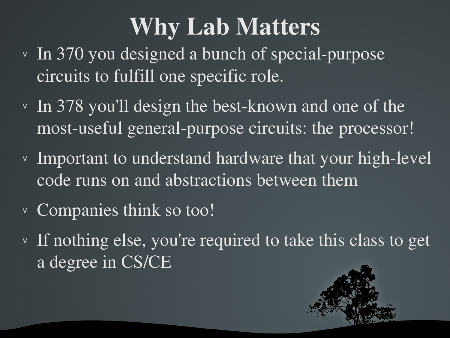#### Why Lab Matters

- $\vee$  In 370 you designed a bunch of special-purpose circuits to fulfill one specific role.
- $\cdot$  In 378 you'll design the best-known and one of the most-useful general-purpose circuits: the processor!
- $\vee$  Important to understand hardware that your high-level code runs on and abstractions between them
- <sup>v</sup> Companies think so too!
- <sup>v</sup> If nothing else, you're required to take this class to get a degree in CS/CE

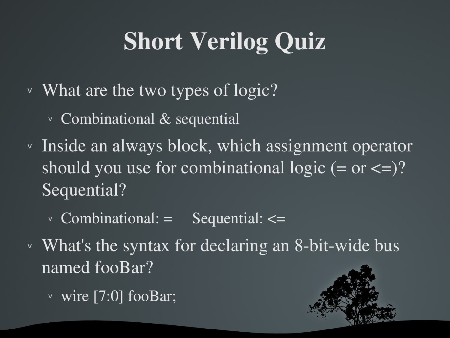### Short Verilog Quiz

- <sup>v</sup> What are the two types of logic?
	- <sup>v</sup> Combinational & sequential
- <sup>v</sup> Inside an always block, which assignment operator should you use for combinational logic  $(= or <=)?$ Sequential?
	- $\vee$  Combinational: = Sequential: <=
- $\vee$  What's the syntax for declaring an 8-bit-wide bus named fooBar?
	- <sup>v</sup> wire [7:0] fooBar;

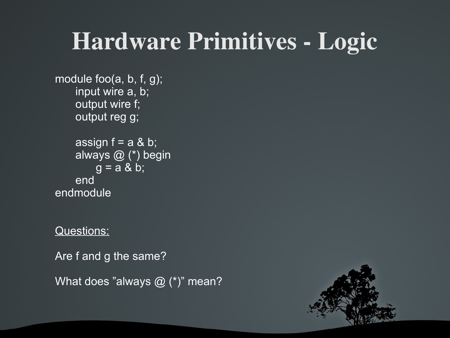#### Hardware Primitives - Logic

```
module foo(a, b, f, g);
    input wire a, b;
    output wire f;
    output reg g;
```

```
assign f = a \& b;always @ (*) begin
       g = a & b;end
endmodule
```
#### Questions:

Are f and g the same?

What does "always @ (\*)" mean?

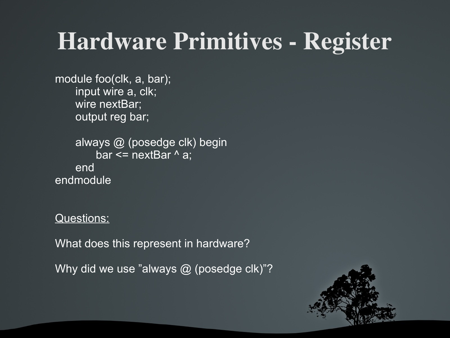#### Hardware Primitives - Register

module foo(clk, a, bar); input wire a, clk; wire nextBar; output reg bar;

always @ (posedge clk) begin bar  $\leq$  nextBar  $\wedge$  a; end endmodule

Questions:

What does this represent in hardware?

Why did we use "always @ (posedge clk)"?

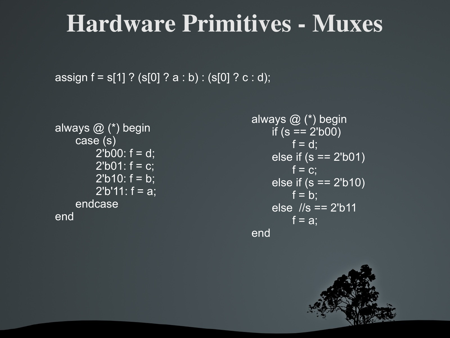#### **Hardware Primitives - Muxes**

```
assign f = s[1] ? (s[0] ? a : b) : (s[0] ? c : d);
```

```
always @ (*) begin
    case (s)
        2'b00: f = d;
        2'b01: f = c;
        2'b10: f = b;
        2'b'11: f = a;endcase
end
```

```
always @ (*) begin
    if (s == 2'b00)
        f = d;
    else if (s == 2'b01)
        f = c;
    else if (s == 2'b10)
        f = b;
    else //s == 2'b11
        f = a;
end
```
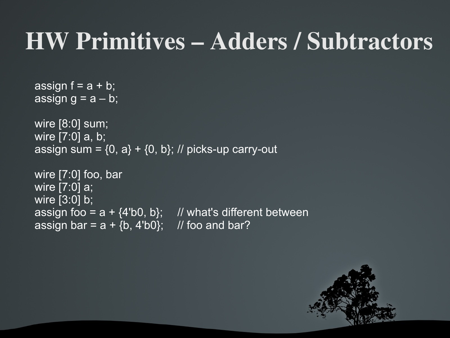#### HW Primitives – Adders / Subtractors

```
assign f = a + b;
assign g = a - b;
wire [8:0] sum;
wire [7:0] a, b;
assign sum = \{0, a\} + \{0, b\}; // picks-up carry-out
wire [7:0] foo, bar
wire [7:0] a;
wire [3:0] b;
assign foo = a + {4'b0, b}; // what's different between
assign bar = a + \{b, 4'b0\}; // foo and bar?
```
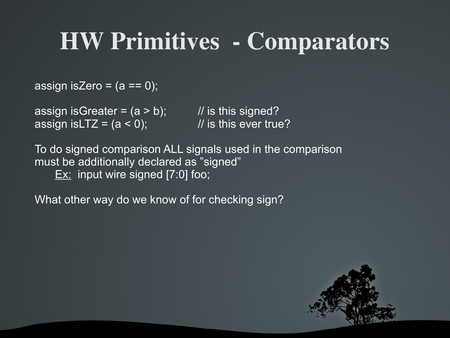#### HW Primitives Comparators

assign isZero =  $(a == 0)$ ;

assign isGreater =  $(a > b)$ ; // is this signed? assign is LTZ =  $(a < 0)$ ; // is this ever true?

To do signed comparison ALL signals used in the comparison must be additionally declared as "signed" Ex: input wire signed [7:0] foo;

What other way do we know of for checking sign?

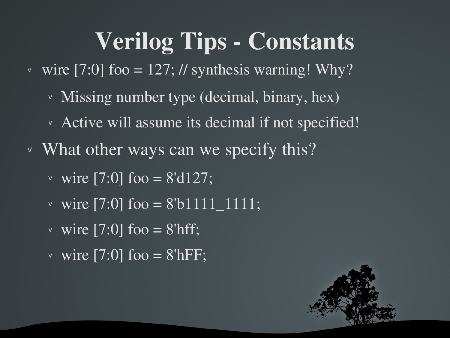#### Verilog Tips - Constants

- v wire [7:0] foo = 127; // synthesis warning! Why?
	- <sup>v</sup> Missing number type (decimal, binary, hex)
	- <sup>v</sup> Active will assume its decimal if not specified!
- v What other ways can we specify this?
	- v wire  $\sqrt{7:0}$  foo = 8'd127;
	- v wire [7:0] foo =  $8'b1111$  1111;
	- v wire  $\boxed{7:0}$  foo = 8'hff;
	- v wire [7:0] foo =  $8$ 'hFF;

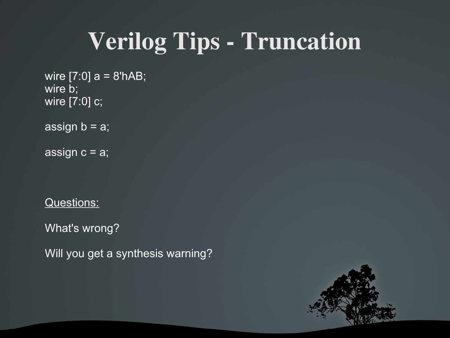#### Verilog Tips - Truncation

wire  $[7:0]$  a = 8'hAB; wire b; wire [7:0] c;

assign  $b = a$ ;

assign  $c = a$ ;

Questions:

What's wrong?

Will you get a synthesis warning?

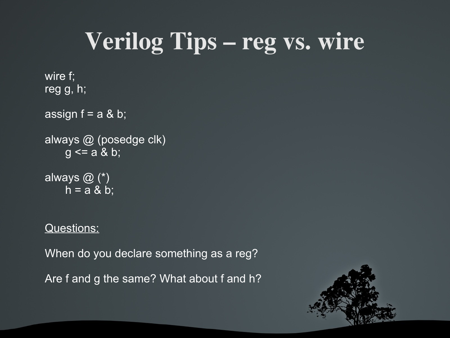### Verilog Tips – reg vs. wire

```
wire f;
reg g, h;
assign f = a \& b;
always @ (posedge clk)
      g \leq a \& b;always \overline{\omega} \overline{\left( \overline{\cdot }\right) }h = a & b;
```
#### Questions:

When do you declare something as a reg? Are f and g the same? What about f and h?

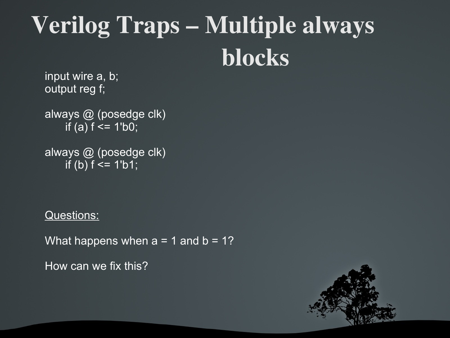## Verilog Traps – Multiple always blocks

input wire a, b; output reg f;

always @ (posedge clk) if (a)  $f \le 1$ 'b0;

always @ (posedge clk) if (b)  $f \le 1$ 'b1;

Questions:

What happens when  $a = 1$  and  $b = 1$ ?

How can we fix this?

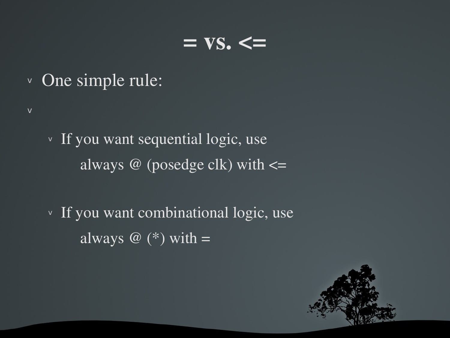#### $= vS$ .  $\leq$

<sup>v</sup> One simple rule:

v

- <sup>v</sup> If you want sequential logic, use always  $\omega$  (posedge clk) with  $\leq$
- <sup>v</sup> If you want combinational logic, use always  $\omega$  (\*) with =

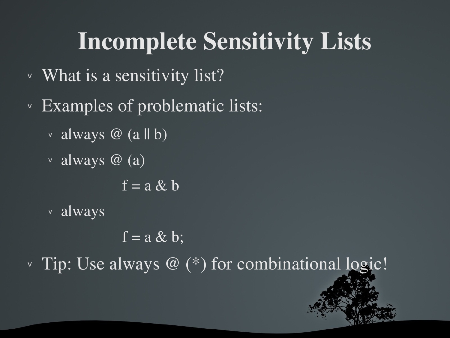#### Incomplete Sensitivity Lists

- <sup>v</sup> What is a sensitivity list?
- <sup>v</sup> Examples of problematic lists:
	- $\vee$  always @ (a || b)
	- <sup>v</sup> always @ (a)

 $\overline{f} = a \& b$ 

<sup>v</sup> always

 $f = a \& b;$ 

 $\vee$  Tip: Use always @  $(*)$  for combinational logic!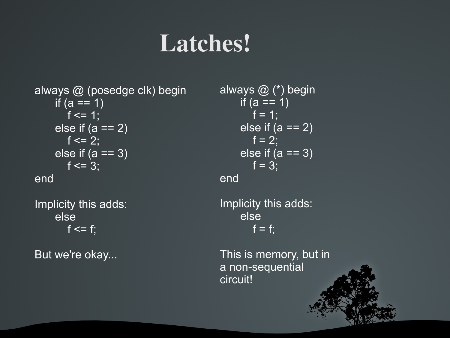#### Latches!

always @ (posedge clk) begin if  $(a == 1)$  $f \le 1$ ; else if  $(a == 2)$  $f \le 2$ ; else if  $(a == 3)$  $f \le 3$ ; end

Implicity this adds: else  $f \leq f$ ;

But we're okay...

always @ (\*) begin if  $(a == 1)$  $f = 1$ ; else if  $(a == 2)$  $f = 2$ ; else if  $(a == 3)$  $f = 3;$ end

Implicity this adds: else  $f = f$ ;

This is memory, but in a non-sequential circuit!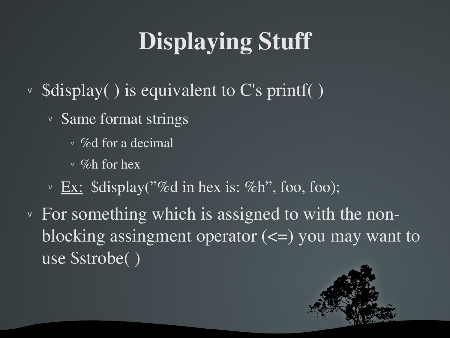### Displaying Stuff

- $\vee$  \$display() is equivalent to C's printf()
	- <sup>v</sup> Same format strings
		- $\vee$  % of for a decimal
		- $\vee$  %h for hex
	- $\vee$  Ex:  $\delta$ display("%d in hex is: %h", foo, foo);
- <sup>v</sup> For something which is assigned to with the nonblocking assingment operator  $(\leq)$  you may want to use \$strobe( )

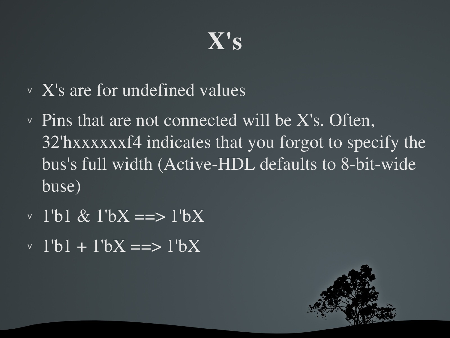#### X's

- <sup>v</sup> X's are for undefined values
- $\overline{v}$  Pins that are not connected will be X's. Often, 32'hxxxxxxf4 indicates that you forgot to specify the bus's full width (Active-HDL defaults to 8-bit-wide buse)
- <sup>v</sup> 1'b1 & 1'bX ==> 1'bX
- $v \frac{1}{b}1 + 1^bX \equiv 1^bX$

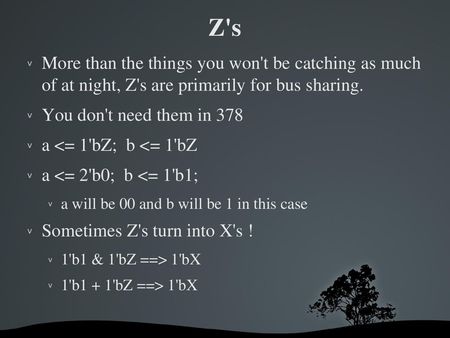#### $Z's$

- <sup>v</sup> More than the things you won't be catching as much of at night, Z's are primarily for bus sharing.
- <sup>v</sup> You don't need them in 378
- $\vee$  a  $\lt = 1' bZ$ ; b  $\lt = 1' bZ$
- $\vee$  a  $\leq$  2'b0; b  $\leq$  1'b1;
	- <sup>v</sup> a will be 00 and b will be 1 in this case
- <sup>v</sup> Sometimes Z's turn into X's !
	- $\vee$  1'b1 & 1'bZ ==> 1'bX
	- $\cdot$  1'b1 + 1'bZ ==> 1'bX

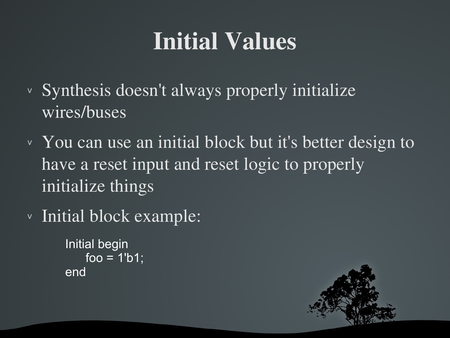#### Initial Values

- <sup>v</sup> Synthesis doesn't always properly initialize wires/buses
- <sup>v</sup> You can use an initial block but it's better design to have a reset input and reset logic to properly initialize things
- <sup>v</sup> Initial block example:

```
Initial begin
     foo = 1<sup>'</sup>b1;
end
```
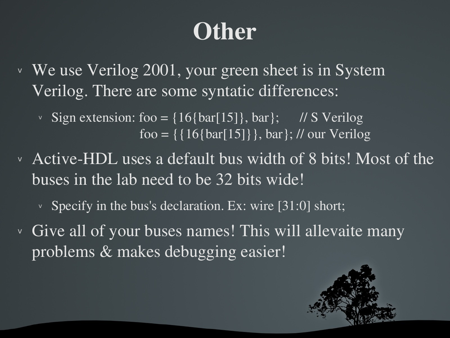### **Other**

<sup>v</sup> We use Verilog 2001, your green sheet is in System Verilog. There are some syntatic differences:

v Sign extension: foo =  $\{16\{\text{bar}[15]\},\text{bar}\};$  // S Verilog foo =  $\{ \{ 16\}$ bar $[15] \}$ , bar $\}$ ; // our Verilog

v Active-HDL uses a default bus width of 8 bits! Most of the buses in the lab need to be 32 bits wide!

 $\vee$  Specify in the bus's declaration. Ex: wire [31:0] short;

<sup>v</sup> Give all of your buses names! This will allevaite many problems & makes debugging easier!